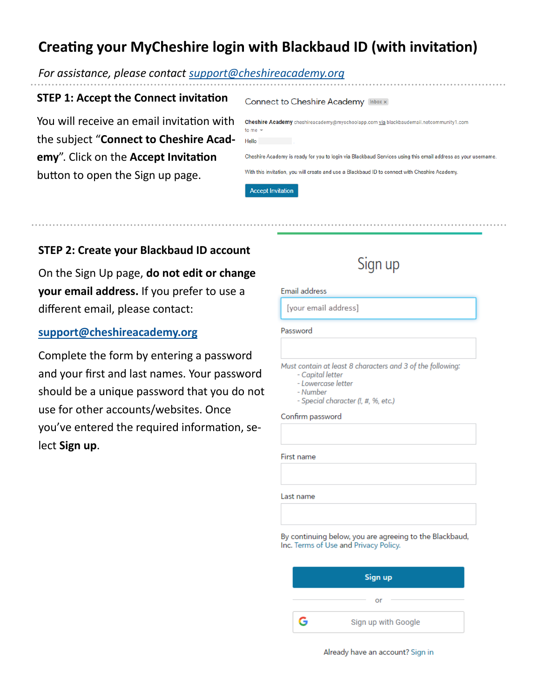# **Creating your MyCheshire login with Blackbaud ID (with invitation)**

### *For assistance, please contact [support@cheshireacademy.org](mailto:support@cheshireacademy.org?subject=Assistance%20with%20Blackbaud%20ID%20creation)*

### **STEP 1: Accept the Connect invitation**

You will receive an email invitation with or the subject "**Connect to Cheshire Academy**". Click on the **Accept Invitation**  button to open the Sign up page.

| Connect to Cheshire Academy [Inbox x]                                                                          |
|----------------------------------------------------------------------------------------------------------------|
| <b>Cheshire Academy</b> cheshireacademy@myschoolapp.com <u>via</u> blackbaudemail.netcommunity1.com<br>$ome -$ |
| tello                                                                                                          |
| heshire Academy is ready for you to login via Blackbaud Services using this email address as your username.    |
| Vith this invitation, you will create and use a Blackbaud ID to connect with Cheshire Academy.                 |
| <b>Accept Invitation</b>                                                                                       |

### **STEP 2: Create your Blackbaud ID account**

On the Sign Up page, **do not edit or change your email address.** If you prefer to use a different email, please contact:

# **[support@cheshireacademy.org](mailto:support@cheshireacademy.org?subject=Assistance%20with%20Blackbaud%20ID%20creation)**

Complete the form by entering a password and your first and last names. Your password should be a unique password that you do not use for other accounts/websites. Once you've entered the required information, select **Sign up**.

# Sign up

#### Email address

[your email address]

#### Password

Must contain at least 8 characters and 3 of the following:

- Capital letter
- Lowercase letter
- Number
- Special character (!, #, %, etc.)

#### Confirm password

First name

Last name

By continuing below, you are agreeing to the Blackbaud, Inc. Terms of Use and Privacy Policy.

| Sign up |                     |  |  |
|---------|---------------------|--|--|
|         | Οľ                  |  |  |
| G       | Sign up with Google |  |  |

Already have an account? Sign in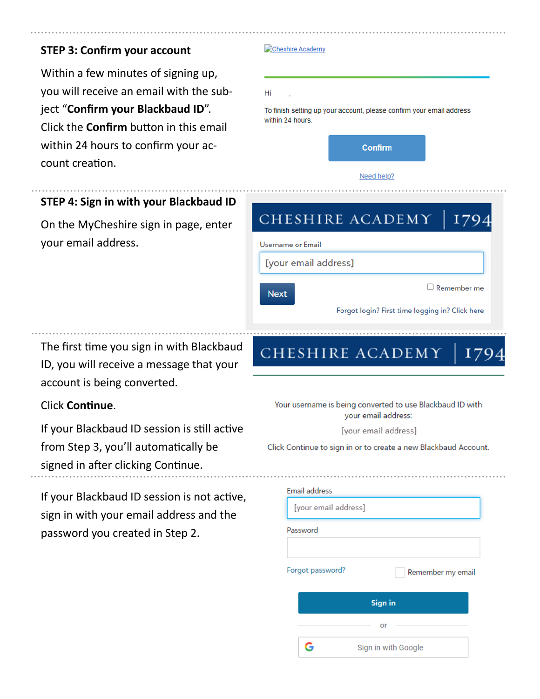# **STEP 3: Confirm your account**

Within a few minutes of signing up, you will receive an email with the subject "**Confirm your Blackbaud ID**". Click the **Confirm** button in this email within 24 hours to confirm your account creation.

#### Cheshire Academy

#### Hi

To finish setting up your account, please confirm your email address within 24 hours.



# **STEP 4: Sign in with your Blackbaud ID**

On the MyCheshire sign in page, enter your email address.

The first time you sign in with Blackbaud ID, you will receive a message that your account is being converted.

# Click **Continue**.

If your Blackbaud ID session is still active from Step 3, you'll automatically be signed in after clicking Continue.

If your Blackbaud ID session is not active, sign in with your email address and the password you created in Step 2.

| CHESHIRE ACADEMY<br>179                                                          |  |  |  |
|----------------------------------------------------------------------------------|--|--|--|
| <b>Username or Email</b>                                                         |  |  |  |
| [your email address]                                                             |  |  |  |
| $\Box$ Remember me<br><b>Next</b>                                                |  |  |  |
| Forgot login? First time logging in? Click here                                  |  |  |  |
| CHESHIRE ACADEMY<br>17'                                                          |  |  |  |
| Your username is being converted to use Blackbaud ID with<br>your email address: |  |  |  |
| [your email address]                                                             |  |  |  |
| Click Continue to sign in or to create a new Blackbaud Account.                  |  |  |  |
| <b>Email address</b>                                                             |  |  |  |
| [your email address]                                                             |  |  |  |
| Password                                                                         |  |  |  |
| Forgot password?<br>Remember my email                                            |  |  |  |
| Sign in                                                                          |  |  |  |
| or                                                                               |  |  |  |
| G<br>Sign in with Google                                                         |  |  |  |